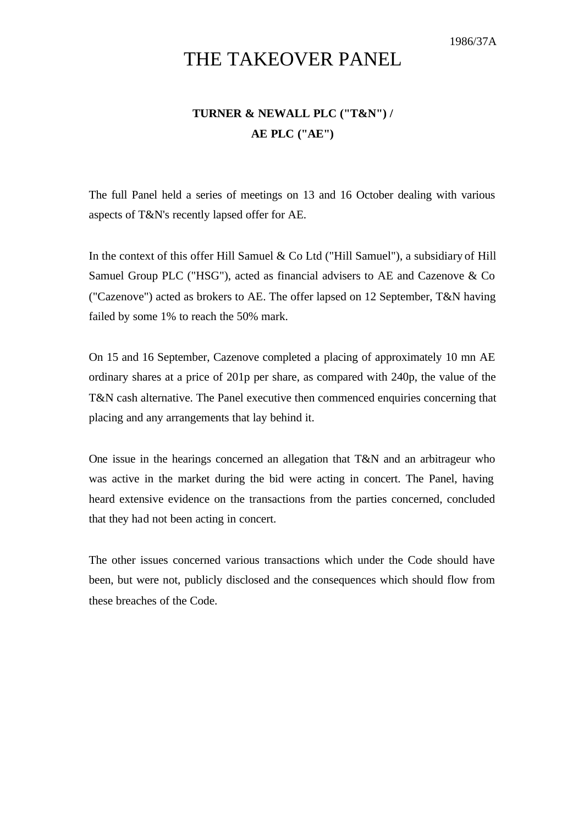1986/37A

## THE TAKEOVER PANEL

## **TURNER & NEWALL PLC ("T&N") / AE PLC ("AE")**

The full Panel held a series of meetings on 13 and 16 October dealing with various aspects of T&N's recently lapsed offer for AE.

In the context of this offer Hill Samuel  $& Co$  Ltd ("Hill Samuel"), a subsidiary of Hill Samuel Group PLC ("HSG"), acted as financial advisers to AE and Cazenove & Co ("Cazenove") acted as brokers to AE. The offer lapsed on 12 September, T&N having failed by some 1% to reach the 50% mark.

On 15 and 16 September, Cazenove completed a placing of approximately 10 mn AE ordinary shares at a price of 201p per share, as compared with 240p, the value of the T&N cash alternative. The Panel executive then commenced enquiries concerning that placing and any arrangements that lay behind it.

One issue in the hearings concerned an allegation that T&N and an arbitrageur who was active in the market during the bid were acting in concert. The Panel, having heard extensive evidence on the transactions from the parties concerned, concluded that they had not been acting in concert.

The other issues concerned various transactions which under the Code should have been, but were not, publicly disclosed and the consequences which should flow from these breaches of the Code.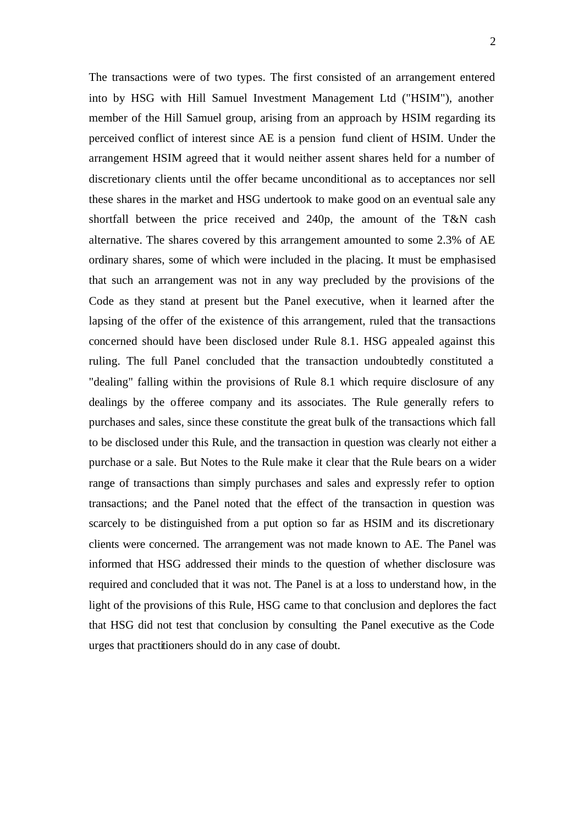The transactions were of two types. The first consisted of an arrangement entered into by HSG with Hill Samuel Investment Management Ltd ("HSIM"), another member of the Hill Samuel group, arising from an approach by HSIM regarding its perceived conflict of interest since AE is a pension fund client of HSIM. Under the arrangement HSIM agreed that it would neither assent shares held for a number of discretionary clients until the offer became unconditional as to acceptances nor sell these shares in the market and HSG undertook to make good on an eventual sale any shortfall between the price received and 240p, the amount of the T&N cash alternative. The shares covered by this arrangement amounted to some 2.3% of AE ordinary shares, some of which were included in the placing. It must be emphasised that such an arrangement was not in any way precluded by the provisions of the Code as they stand at present but the Panel executive, when it learned after the lapsing of the offer of the existence of this arrangement, ruled that the transactions concerned should have been disclosed under Rule 8.1. HSG appealed against this ruling. The full Panel concluded that the transaction undoubtedly constituted a "dealing" falling within the provisions of Rule 8.1 which require disclosure of any dealings by the offeree company and its associates. The Rule generally refers to purchases and sales, since these constitute the great bulk of the transactions which fall to be disclosed under this Rule, and the transaction in question was clearly not either a purchase or a sale. But Notes to the Rule make it clear that the Rule bears on a wider range of transactions than simply purchases and sales and expressly refer to option transactions; and the Panel noted that the effect of the transaction in question was scarcely to be distinguished from a put option so far as HSIM and its discretionary clients were concerned. The arrangement was not made known to AE. The Panel was informed that HSG addressed their minds to the question of whether disclosure was required and concluded that it was not. The Panel is at a loss to understand how, in the light of the provisions of this Rule, HSG came to that conclusion and deplores the fact that HSG did not test that conclusion by consulting the Panel executive as the Code urges that practitioners should do in any case of doubt.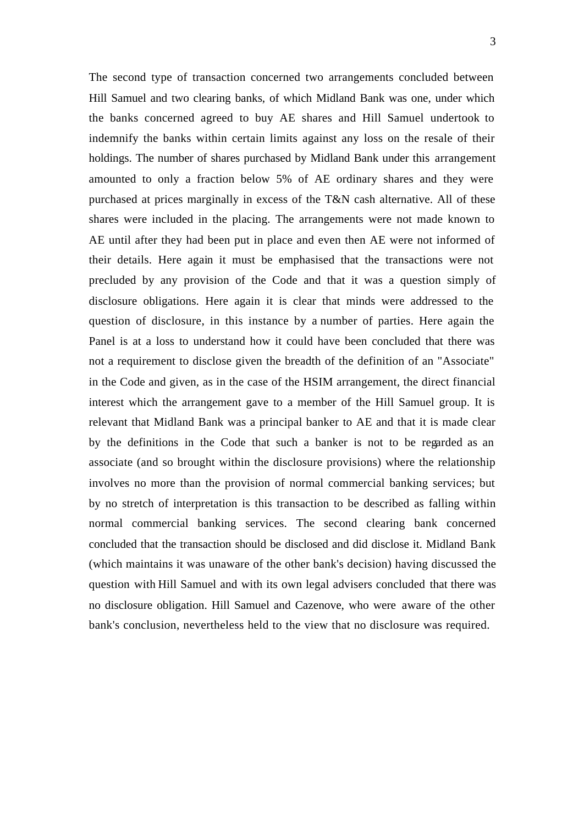The second type of transaction concerned two arrangements concluded between Hill Samuel and two clearing banks, of which Midland Bank was one, under which the banks concerned agreed to buy AE shares and Hill Samuel undertook to indemnify the banks within certain limits against any loss on the resale of their holdings. The number of shares purchased by Midland Bank under this arrangement amounted to only a fraction below 5% of AE ordinary shares and they were purchased at prices marginally in excess of the T&N cash alternative. All of these shares were included in the placing. The arrangements were not made known to AE until after they had been put in place and even then AE were not informed of their details. Here again it must be emphasised that the transactions were not precluded by any provision of the Code and that it was a question simply of disclosure obligations. Here again it is clear that minds were addressed to the question of disclosure, in this instance by a number of parties. Here again the Panel is at a loss to understand how it could have been concluded that there was not a requirement to disclose given the breadth of the definition of an "Associate" in the Code and given, as in the case of the HSIM arrangement, the direct financial interest which the arrangement gave to a member of the Hill Samuel group. It is relevant that Midland Bank was a principal banker to AE and that it is made clear by the definitions in the Code that such a banker is not to be regarded as an associate (and so brought within the disclosure provisions) where the relationship involves no more than the provision of normal commercial banking services; but by no stretch of interpretation is this transaction to be described as falling within normal commercial banking services. The second clearing bank concerned concluded that the transaction should be disclosed and did disclose it. Midland Bank (which maintains it was unaware of the other bank's decision) having discussed the question with Hill Samuel and with its own legal advisers concluded that there was no disclosure obligation. Hill Samuel and Cazenove, who were aware of the other bank's conclusion, nevertheless held to the view that no disclosure was required.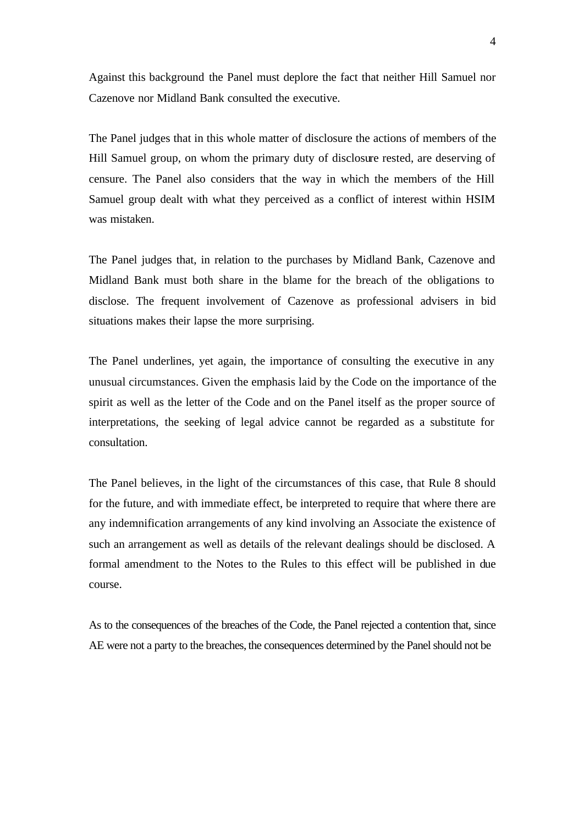Against this background the Panel must deplore the fact that neither Hill Samuel nor Cazenove nor Midland Bank consulted the executive.

The Panel judges that in this whole matter of disclosure the actions of members of the Hill Samuel group, on whom the primary duty of disclosure rested, are deserving of censure. The Panel also considers that the way in which the members of the Hill Samuel group dealt with what they perceived as a conflict of interest within HSIM was mistaken.

The Panel judges that, in relation to the purchases by Midland Bank, Cazenove and Midland Bank must both share in the blame for the breach of the obligations to disclose. The frequent involvement of Cazenove as professional advisers in bid situations makes their lapse the more surprising.

The Panel underlines, yet again, the importance of consulting the executive in any unusual circumstances. Given the emphasis laid by the Code on the importance of the spirit as well as the letter of the Code and on the Panel itself as the proper source of interpretations, the seeking of legal advice cannot be regarded as a substitute for consultation.

The Panel believes, in the light of the circumstances of this case, that Rule 8 should for the future, and with immediate effect, be interpreted to require that where there are any indemnification arrangements of any kind involving an Associate the existence of such an arrangement as well as details of the relevant dealings should be disclosed. A formal amendment to the Notes to the Rules to this effect will be published in due course.

As to the consequences of the breaches of the Code, the Panel rejected a contention that, since AE were not a party to the breaches, the consequences determined by the Panel should not be